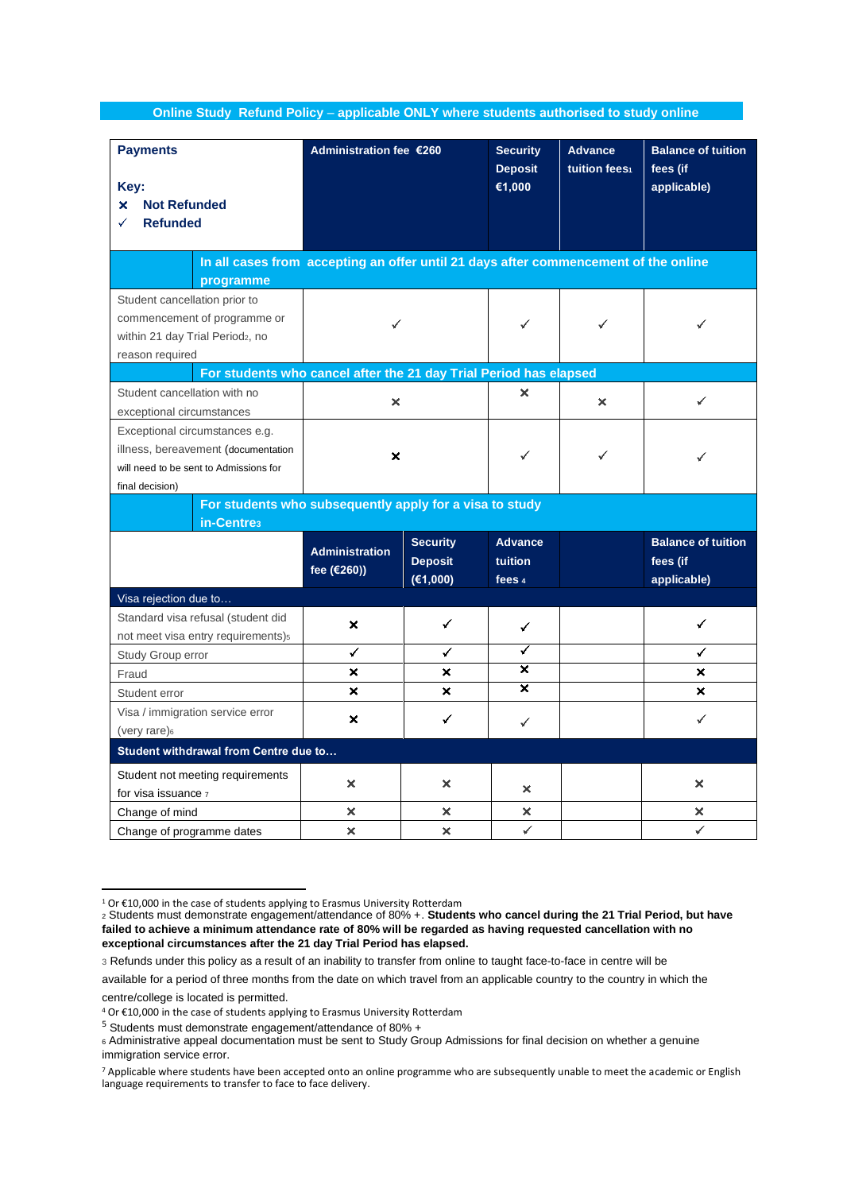**Online Study Refund Policy** – **applicable ONLY where students authorised to study online** 

| <b>Payments</b><br>Key:<br>×<br><b>Not Refunded</b><br><b>Refunded</b>                                                             | Administration fee €260              |                                               | <b>Security</b><br><b>Deposit</b><br>€1,000 | <b>Advance</b><br>tuition fees1 | <b>Balance of tuition</b><br>fees (if<br>applicable) |
|------------------------------------------------------------------------------------------------------------------------------------|--------------------------------------|-----------------------------------------------|---------------------------------------------|---------------------------------|------------------------------------------------------|
| In all cases from accepting an offer until 21 days after commencement of the online<br>programme                                   |                                      |                                               |                                             |                                 |                                                      |
| Student cancellation prior to<br>commencement of programme or<br>within 21 day Trial Period <sub>2</sub> , no<br>reason required   | ✓                                    |                                               |                                             |                                 | ✓                                                    |
| For students who cancel after the 21 day Trial Period has elapsed                                                                  |                                      |                                               |                                             |                                 |                                                      |
| Student cancellation with no<br>exceptional circumstances                                                                          | ×                                    |                                               | ×                                           | ×                               | ✓                                                    |
| Exceptional circumstances e.g.<br>illness, bereavement (documentation<br>will need to be sent to Admissions for<br>final decision) | ×                                    |                                               |                                             |                                 |                                                      |
| For students who subsequently apply for a visa to study<br>in-Centre <sub>3</sub>                                                  |                                      |                                               |                                             |                                 |                                                      |
|                                                                                                                                    | <b>Administration</b><br>fee (€260)) | <b>Security</b><br><b>Deposit</b><br>(€1,000) | <b>Advance</b><br>tuition<br>fees 4         |                                 | <b>Balance of tuition</b><br>fees (if<br>applicable) |
| Visa rejection due to                                                                                                              |                                      |                                               |                                             |                                 |                                                      |
| Standard visa refusal (student did<br>not meet visa entry requirements) <sub>5</sub>                                               | ×                                    | ✓                                             | ✓                                           |                                 | ✓                                                    |
| Study Group error                                                                                                                  | ✓                                    | ✓                                             | ✓                                           |                                 | ✓                                                    |
| Fraud                                                                                                                              | ×                                    | ×                                             | ×                                           |                                 | ×                                                    |
| Student error                                                                                                                      | ×                                    | $\mathbf x$                                   | ×                                           |                                 | ×                                                    |
| Visa / immigration service error<br>(very rare) <sup>6</sup>                                                                       | ×                                    | ✓                                             | ✓                                           |                                 | ✓                                                    |
| Student withdrawal from Centre due to                                                                                              |                                      |                                               |                                             |                                 |                                                      |
| Student not meeting requirements                                                                                                   |                                      |                                               |                                             |                                 |                                                      |
| for visa issuance 7                                                                                                                | ×                                    | ×                                             | ×                                           |                                 | ×                                                    |
| Change of mind                                                                                                                     | ×                                    | ×                                             | ×                                           |                                 | ×                                                    |
| Change of programme dates                                                                                                          | ×                                    | ×                                             | ✓                                           |                                 | ✓                                                    |

<sup>1</sup> Or €10,000 in the case of students applying to Erasmus University Rotterdam <sup>2</sup> Students must demonstrate engagement/attendance of 80% +. **Students who cancel during the 21 Trial Period, but have failed to achieve a minimum attendance rate of 80% will be regarded as having requested cancellation with no exceptional circumstances after the 21 day Trial Period has elapsed.**

<sup>3</sup> Refunds under this policy as a result of an inability to transfer from online to taught face-to-face in centre will be

available for a period of three months from the date on which travel from an applicable country to the country in which the

centre/college is located is permitted.

<sup>4</sup> Or €10,000 in the case of students applying to Erasmus University Rotterdam

<sup>5</sup> Students must demonstrate engagement/attendance of 80% +

<sup>6</sup> Administrative appeal documentation must be sent to Study Group Admissions for final decision on whether a genuine immigration service error.

<sup>7</sup> Applicable where students have been accepted onto an online programme who are subsequently unable to meet the academic or English language requirements to transfer to face to face delivery.